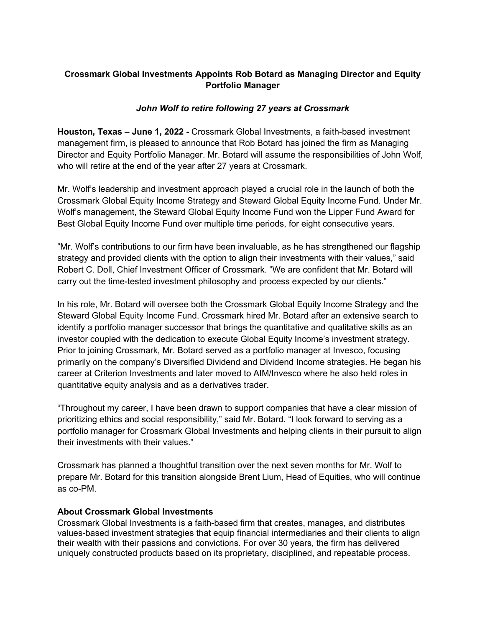## **Crossmark Global Investments Appoints Rob Botard as Managing Director and Equity Portfolio Manager**

## *John Wolf to retire following 27 years at Crossmark*

**Houston, Texas – June 1, 2022 -** Crossmark Global Investments, a faith-based investment management firm, is pleased to announce that Rob Botard has joined the firm as Managing Director and Equity Portfolio Manager. Mr. Botard will assume the responsibilities of John Wolf, who will retire at the end of the year after 27 years at Crossmark.

Mr. Wolf's leadership and investment approach played a crucial role in the launch of both the Crossmark Global Equity Income Strategy and Steward Global Equity Income Fund. Under Mr. Wolf's management, the Steward Global Equity Income Fund won the Lipper Fund Award for Best Global Equity Income Fund over multiple time periods, for eight consecutive years.

"Mr. Wolf's contributions to our firm have been invaluable, as he has strengthened our flagship strategy and provided clients with the option to align their investments with their values," said Robert C. Doll, Chief Investment Officer of Crossmark. "We are confident that Mr. Botard will carry out the time-tested investment philosophy and process expected by our clients."

In his role, Mr. Botard will oversee both the Crossmark Global Equity Income Strategy and the Steward Global Equity Income Fund. Crossmark hired Mr. Botard after an extensive search to identify a portfolio manager successor that brings the quantitative and qualitative skills as an investor coupled with the dedication to execute Global Equity Income's investment strategy. Prior to joining Crossmark, Mr. Botard served as a portfolio manager at Invesco, focusing primarily on the company's Diversified Dividend and Dividend Income strategies. He began his career at Criterion Investments and later moved to AIM/Invesco where he also held roles in quantitative equity analysis and as a derivatives trader.

"Throughout my career, I have been drawn to support companies that have a clear mission of prioritizing ethics and social responsibility," said Mr. Botard. "I look forward to serving as a portfolio manager for Crossmark Global Investments and helping clients in their pursuit to align their investments with their values."

Crossmark has planned a thoughtful transition over the next seven months for Mr. Wolf to prepare Mr. Botard for this transition alongside Brent Lium, Head of Equities, who will continue as co-PM.

## **About Crossmark Global Investments**

Crossmark Global Investments is a faith-based firm that creates, manages, and distributes values-based investment strategies that equip financial intermediaries and their clients to align their wealth with their passions and convictions. For over 30 years, the firm has delivered uniquely constructed products based on its proprietary, disciplined, and repeatable process.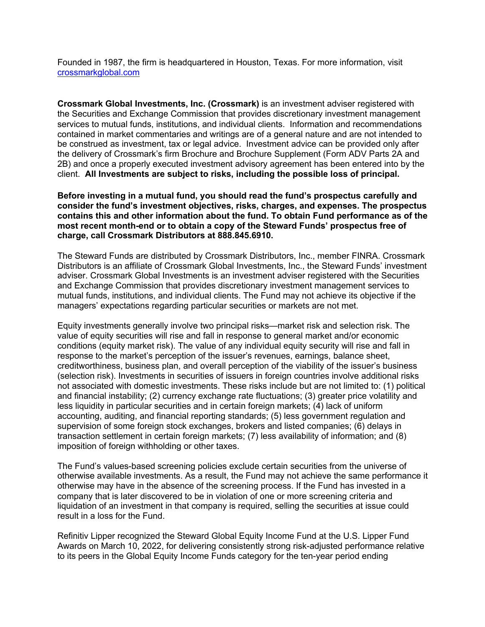Founded in 1987, the firm is headquartered in Houston, Texas. For more information, visit crossmarkglobal.com

**Crossmark Global Investments, Inc. (Crossmark)** is an investment adviser registered with the Securities and Exchange Commission that provides discretionary investment management services to mutual funds, institutions, and individual clients. Information and recommendations contained in market commentaries and writings are of a general nature and are not intended to be construed as investment, tax or legal advice. Investment advice can be provided only after the delivery of Crossmark's firm Brochure and Brochure Supplement (Form ADV Parts 2A and 2B) and once a properly executed investment advisory agreement has been entered into by the client. **All Investments are subject to risks, including the possible loss of principal.**

**Before investing in a mutual fund, you should read the fund's prospectus carefully and consider the fund's investment objectives, risks, charges, and expenses. The prospectus contains this and other information about the fund. To obtain Fund performance as of the most recent month-end or to obtain a copy of the Steward Funds' prospectus free of charge, call Crossmark Distributors at 888.845.6910.**

The Steward Funds are distributed by Crossmark Distributors, Inc., member FINRA. Crossmark Distributors is an affiliate of Crossmark Global Investments, Inc., the Steward Funds' investment adviser. Crossmark Global Investments is an investment adviser registered with the Securities and Exchange Commission that provides discretionary investment management services to mutual funds, institutions, and individual clients. The Fund may not achieve its objective if the managers' expectations regarding particular securities or markets are not met.

Equity investments generally involve two principal risks—market risk and selection risk. The value of equity securities will rise and fall in response to general market and/or economic conditions (equity market risk). The value of any individual equity security will rise and fall in response to the market's perception of the issuer's revenues, earnings, balance sheet, creditworthiness, business plan, and overall perception of the viability of the issuer's business (selection risk). Investments in securities of issuers in foreign countries involve additional risks not associated with domestic investments. These risks include but are not limited to: (1) political and financial instability; (2) currency exchange rate fluctuations; (3) greater price volatility and less liquidity in particular securities and in certain foreign markets; (4) lack of uniform accounting, auditing, and financial reporting standards; (5) less government regulation and supervision of some foreign stock exchanges, brokers and listed companies; (6) delays in transaction settlement in certain foreign markets; (7) less availability of information; and (8) imposition of foreign withholding or other taxes.

The Fund's values-based screening policies exclude certain securities from the universe of otherwise available investments. As a result, the Fund may not achieve the same performance it otherwise may have in the absence of the screening process. If the Fund has invested in a company that is later discovered to be in violation of one or more screening criteria and liquidation of an investment in that company is required, selling the securities at issue could result in a loss for the Fund.

Refinitiv Lipper recognized the Steward Global Equity Income Fund at the U.S. Lipper Fund Awards on March 10, 2022, for delivering consistently strong risk-adjusted performance relative to its peers in the Global Equity Income Funds category for the ten-year period ending